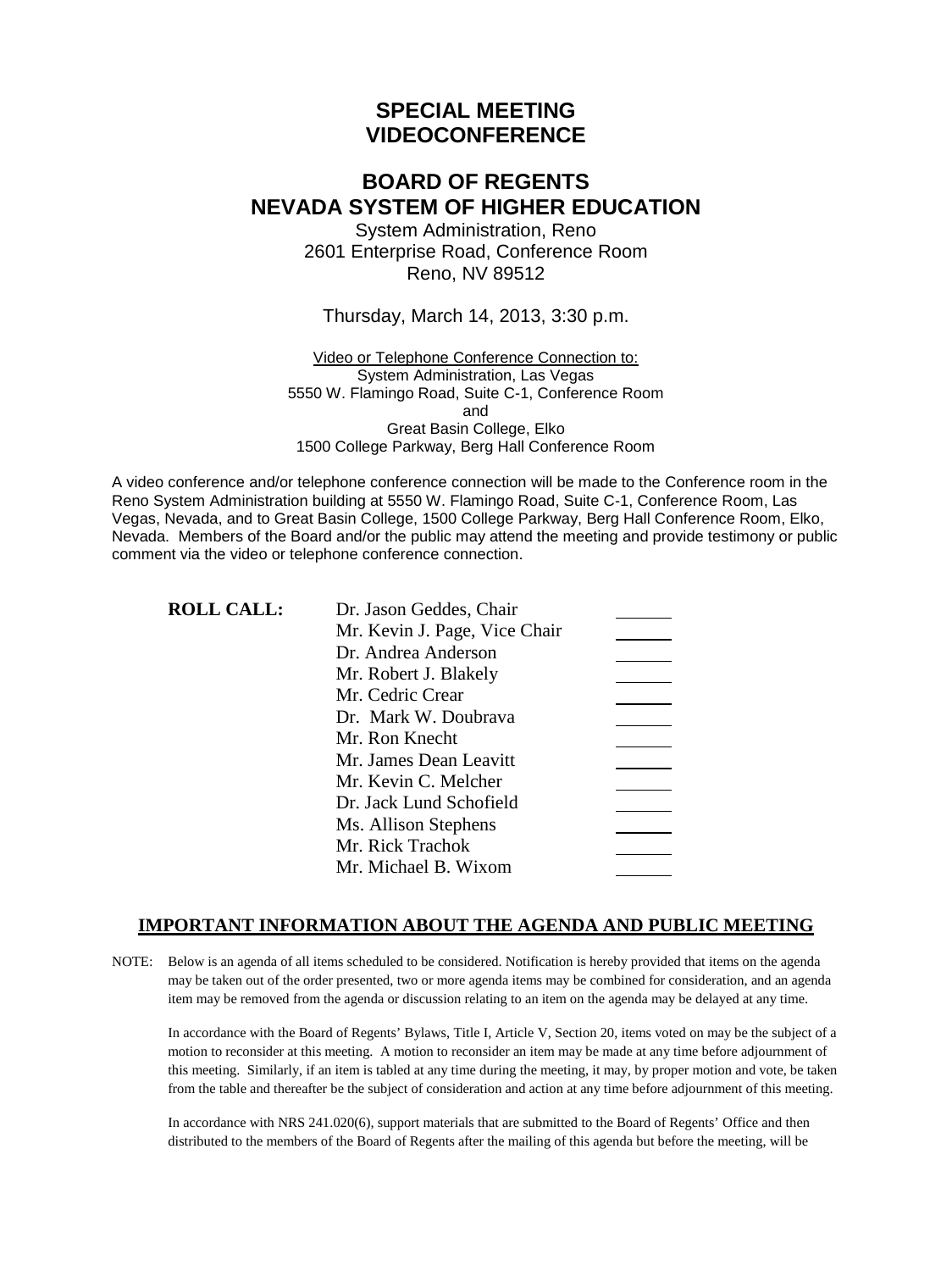# **SPECIAL MEETING VIDEOCONFERENCE**

# **BOARD OF REGENTS NEVADA SYSTEM OF HIGHER EDUCATION**

System Administration, Reno 2601 Enterprise Road, Conference Room Reno, NV 89512

#### Thursday, March 14, 2013, 3:30 p.m.

Video or Telephone Conference Connection to: System Administration, Las Vegas 5550 W. Flamingo Road, Suite C-1, Conference Room and Great Basin College, Elko 1500 College Parkway, Berg Hall Conference Room

A video conference and/or telephone conference connection will be made to the Conference room in the Reno System Administration building at 5550 W. Flamingo Road, Suite C-1, Conference Room, Las Vegas, Nevada, and to Great Basin College, 1500 College Parkway, Berg Hall Conference Room, Elko, Nevada. Members of the Board and/or the public may attend the meeting and provide testimony or public comment via the video or telephone conference connection.

### **ROLL CALL:**

| Dr. Jason Geddes, Chair       |  |
|-------------------------------|--|
| Mr. Kevin J. Page, Vice Chair |  |
| Dr. Andrea Anderson           |  |
| Mr. Robert J. Blakely         |  |
| Mr. Cedric Crear              |  |
| Dr. Mark W. Doubrava          |  |
| Mr. Ron Knecht                |  |
| Mr. James Dean Leavitt        |  |
| Mr. Kevin C. Melcher          |  |
| Dr. Jack Lund Schofield       |  |
| Ms. Allison Stephens          |  |
| Mr. Rick Trachok              |  |
| Mr. Michael B. Wixom          |  |
|                               |  |

## **IMPORTANT INFORMATION ABOUT THE AGENDA AND PUBLIC MEETING**

NOTE: Below is an agenda of all items scheduled to be considered. Notification is hereby provided that items on the agenda may be taken out of the order presented, two or more agenda items may be combined for consideration, and an agenda item may be removed from the agenda or discussion relating to an item on the agenda may be delayed at any time.

In accordance with the Board of Regents' Bylaws, Title I, Article V, Section 20, items voted on may be the subject of a motion to reconsider at this meeting. A motion to reconsider an item may be made at any time before adjournment of this meeting. Similarly, if an item is tabled at any time during the meeting, it may, by proper motion and vote, be taken from the table and thereafter be the subject of consideration and action at any time before adjournment of this meeting.

In accordance with NRS 241.020(6), support materials that are submitted to the Board of Regents' Office and then distributed to the members of the Board of Regents after the mailing of this agenda but before the meeting, will be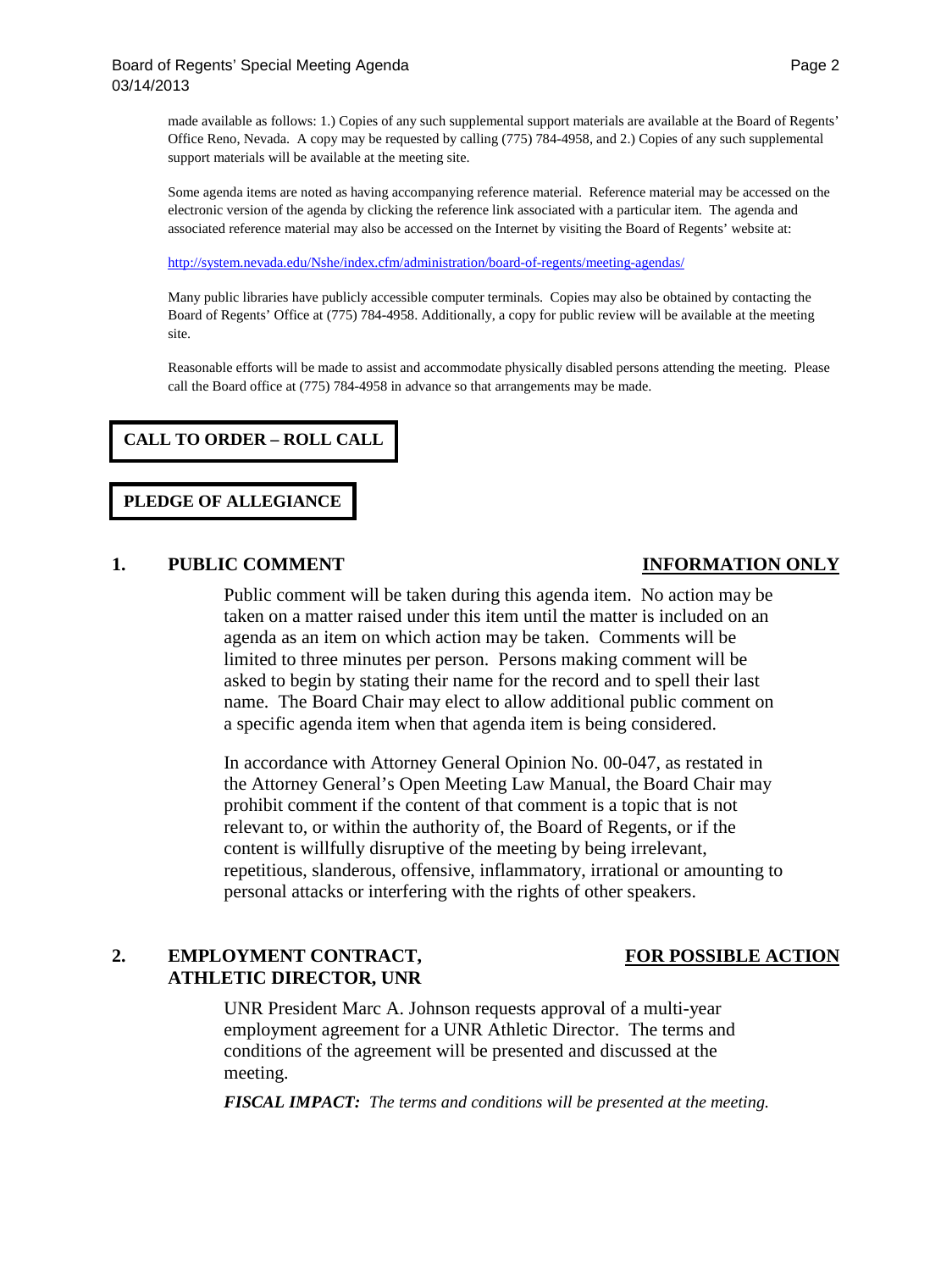made available as follows: 1.) Copies of any such supplemental support materials are available at the Board of Regents' Office Reno, Nevada. A copy may be requested by calling (775) 784-4958, and 2.) Copies of any such supplemental support materials will be available at the meeting site.

Some agenda items are noted as having accompanying reference material. Reference material may be accessed on the electronic version of the agenda by clicking the reference link associated with a particular item. The agenda and associated reference material may also be accessed on the Internet by visiting the Board of Regents' website at:

<http://system.nevada.edu/Nshe/index.cfm/administration/board-of-regents/meeting-agendas/>

Many public libraries have publicly accessible computer terminals. Copies may also be obtained by contacting the Board of Regents' Office at (775) 784-4958. Additionally, a copy for public review will be available at the meeting site.

Reasonable efforts will be made to assist and accommodate physically disabled persons attending the meeting. Please call the Board office at (775) 784-4958 in advance so that arrangements may be made.

### **CALL TO ORDER – ROLL CALL**

## **PLEDGE OF ALLEGIANCE**

### **1. PUBLIC COMMENT INFORMATION ONLY**

Public comment will be taken during this agenda item. No action may be taken on a matter raised under this item until the matter is included on an agenda as an item on which action may be taken. Comments will be limited to three minutes per person. Persons making comment will be asked to begin by stating their name for the record and to spell their last name. The Board Chair may elect to allow additional public comment on a specific agenda item when that agenda item is being considered.

In accordance with Attorney General Opinion No. 00-047, as restated in the Attorney General's Open Meeting Law Manual, the Board Chair may prohibit comment if the content of that comment is a topic that is not relevant to, or within the authority of, the Board of Regents, or if the content is willfully disruptive of the meeting by being irrelevant, repetitious, slanderous, offensive, inflammatory, irrational or amounting to personal attacks or interfering with the rights of other speakers.

## 2. **EMPLOYMENT CONTRACT, FOR POSSIBLE ACTION ATHLETIC DIRECTOR, UNR**

UNR President Marc A. Johnson requests approval of a multi-year employment agreement for a UNR Athletic Director. The terms and conditions of the agreement will be presented and discussed at the meeting.

*FISCAL IMPACT: The terms and conditions will be presented at the meeting.*